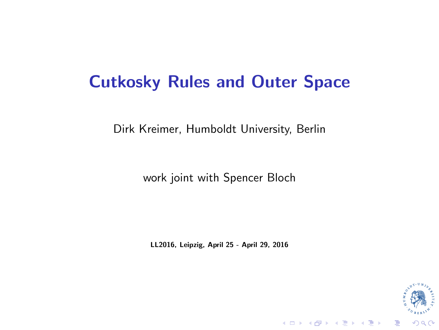## Cutkosky Rules and Outer Space

Dirk Kreimer, Humboldt University, Berlin

work joint with Spencer Bloch

LL2016, Leipzig, April 25 - April 29, 2016

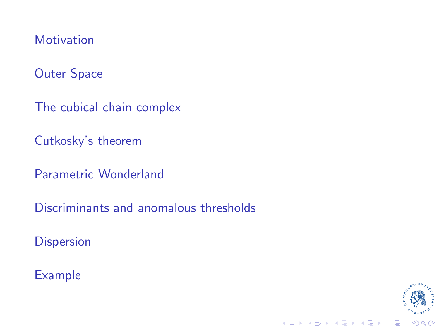[Outer Space](#page-6-0)

[The cubical chain complex](#page-7-0)

[Cutkosky's theorem](#page-10-0)

[Parametric Wonderland](#page-11-0)

[Discriminants and anomalous thresholds](#page-14-0)

[Dispersion](#page-17-0)

[Example](#page-20-0)

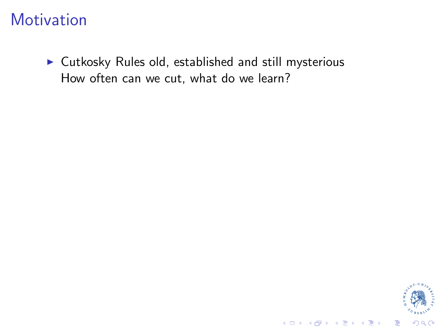<span id="page-2-0"></span>▶ Cutkosky Rules old, established and still mysterious How often can we cut, what do we learn?

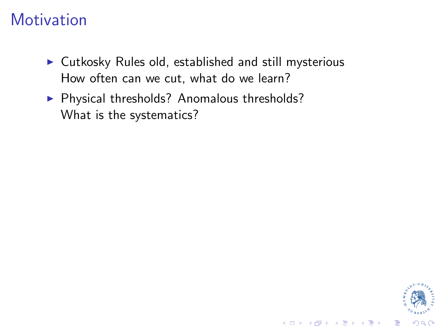- ▶ Cutkosky Rules old, established and still mysterious How often can we cut, what do we learn?
- ▶ Physical thresholds? Anomalous thresholds? What is the systematics?

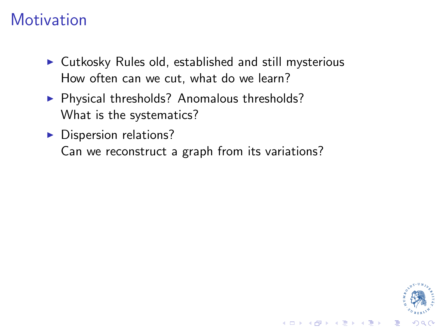- $\triangleright$  Cutkosky Rules old, established and still mysterious How often can we cut, what do we learn?
- ▶ Physical thresholds? Anomalous thresholds? What is the systematics?
- ▶ Dispersion relations?

Can we reconstruct a graph from its variations?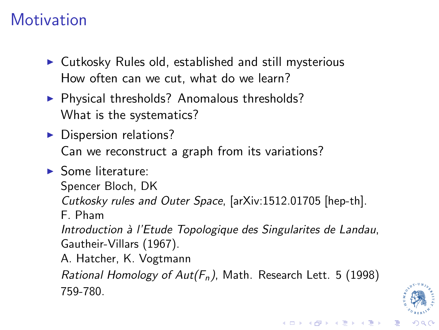- <span id="page-5-0"></span> $\triangleright$  Cutkosky Rules old, established and still mysterious How often can we cut, what do we learn?
- ▶ Physical thresholds? Anomalous thresholds? What is the systematics?
- ▶ Dispersion relations? Can we reconstruct a graph from its variations?
- $\blacktriangleright$  Some literature:

Spencer Bloch, DK

Cutkosky rules and Outer Space, [arXiv:1512.01705 [hep-th].

F. Pham

Introduction à l'Etude Topologique des Singularites de Landau, Gautheir-Villars (1967).

A. Hatcher, K. Vogtmann

Rational Homology of  $Aut(F_n)$ , Math. Research Lett. 5 (1998) 759-780.

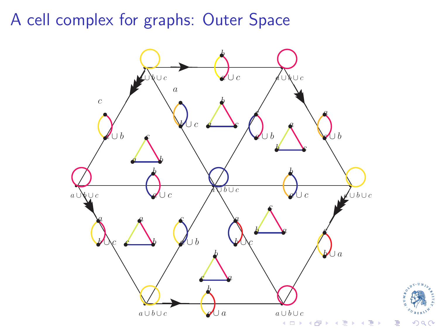<span id="page-6-0"></span>A cell complex for graphs: Outer Space

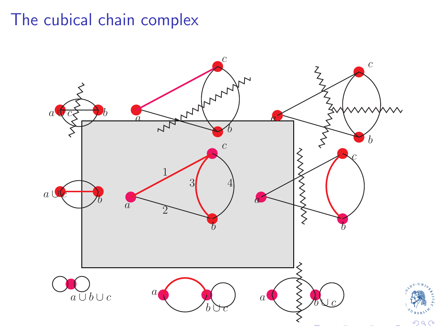## <span id="page-7-0"></span>The cubical chain complex

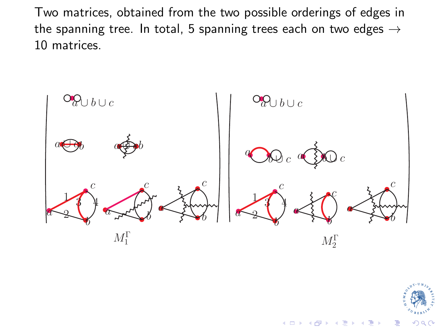Two matrices, obtained from the two possible orderings of edges in the spanning tree. In total, 5 spanning trees each on two edges  $\rightarrow$ 10 matrices.





母 → → 手

 $\leftarrow$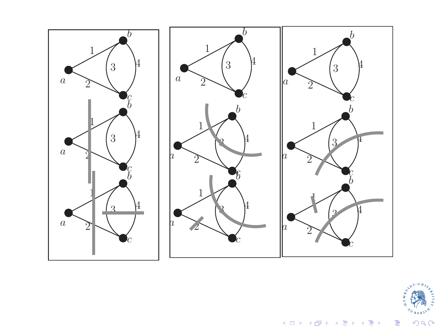



(ロ) (伊) (

 $\mathcal{A}$  . ∍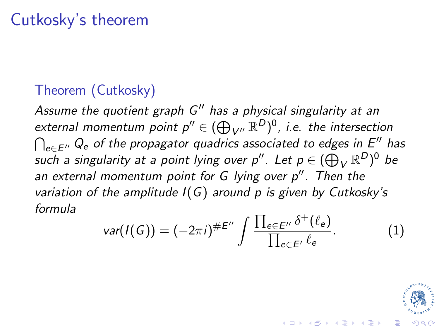# <span id="page-10-0"></span>Cutkosky's theorem

#### Theorem (Cutkosky)

Assume the quotient graph G" has a physical singularity at an external momentum point  $p'' \in (\bigoplus_{V''} \mathbb{R}^D)^0$ , i.e. the intersection  $\bigcap_{e\in E''}Q_e$  of the propagator quadrics associated to edges in  $E''$  has such a singularity at a point lying over p". Let  $p\in (\bigoplus_V \mathbb R^D)^0$  be an external momentum point for  $G$  lying over  $p''$ . Then the variation of the amplitude  $I(G)$  around p is given by Cutkosky's formula

$$
\text{var}(I(G)) = (-2\pi i)^{\#E''} \int \frac{\prod_{e \in E''} \delta^+( \ell_e)}{\prod_{e \in E'} \ell_e}.
$$
 (1)

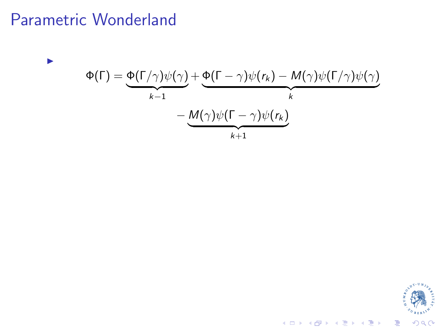### <span id="page-11-0"></span>Parametric Wonderland



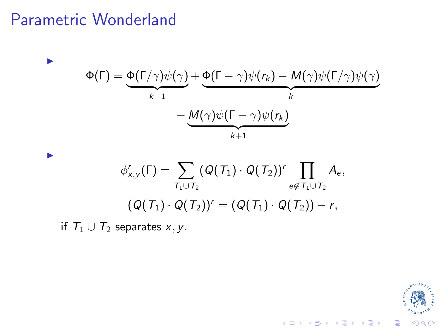### Parametric Wonderland

◮  $\Phi(\Gamma) = \Phi(\Gamma/\gamma) \psi(\gamma)$  $\overline{k-1}$  $+\underbrace{\Phi(\Gamma-\gamma)\psi(r_{k})-M(\gamma)\psi(\Gamma/\gamma)\psi(\gamma)}$  $\overbrace{\phantom{a}}^k$  $-\underbrace{M(\gamma)\psi(\Gamma-\gamma)\psi(r_k)}$  $\overbrace{k+1}^{k+1}$  $k+1$ ◮  $\phi^{r}_{x,y}(\Gamma) = \sum$  $T_1 \cup T_2$  $(Q(\mathcal{T}_1) \cdot Q(\mathcal{T}_2))^r \prod$  $e \not\in \mathcal{T}_1 \cup \mathcal{T}_2$  $A_e,$  $(Q(T_1) \cdot Q(T_2))^r = (Q(T_1) \cdot Q(T_2)) - r$ 

if  $T_1 \cup T_2$  separates x, y.

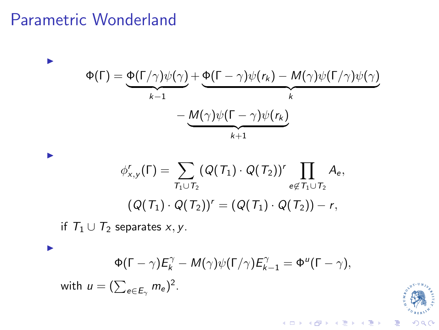### Parametric Wonderland

◮

◮

◮

 $\Phi(\Gamma) = \Phi(\Gamma/\gamma) \psi(\gamma)$  $\overline{k-1}$  $+\underbrace{\Phi(\Gamma-\gamma)\psi(r_{k})-M(\gamma)\psi(\Gamma/\gamma)\psi(\gamma)}$  $\overbrace{\phantom{a}}^k$  $-\underbrace{M(\gamma)\psi(\Gamma-\gamma)\psi(r_k)}$  $\overbrace{k+1}$ 

$$
\phi_{x,y}^r(\Gamma) = \sum_{T_1 \cup T_2} (Q(T_1) \cdot Q(T_2))^r \prod_{e \notin T_1 \cup T_2} A_e,
$$
  

$$
(Q(T_1) \cdot Q(T_2))^r = (Q(T_1) \cdot Q(T_2)) - r,
$$

if  $T_1 \cup T_2$  separates x, y.

$$
\Phi(\Gamma - \gamma)E_k^{\gamma} - M(\gamma)\psi(\Gamma/\gamma)E_{k-1}^{\gamma} = \Phi^u(\Gamma - \gamma),
$$
  
with  $u = (\sum_{e \in E_{\gamma}} m_e)^2$ .



イロメ 不倒 メイモメ 不正々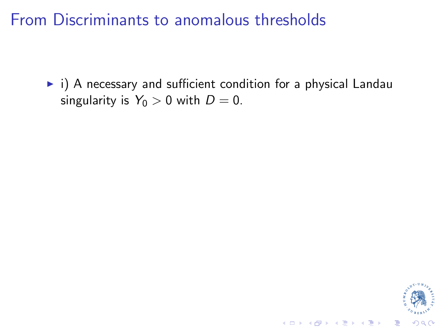<span id="page-14-0"></span>From Discriminants to anomalous thresholds

▶ i) A necessary and sufficient condition for a physical Landau singularity is  $Y_0 > 0$  with  $D = 0$ .

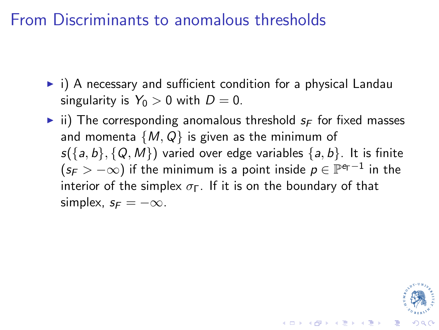## From Discriminants to anomalous thresholds

- $\triangleright$  i) A necessary and sufficient condition for a physical Landau singularity is  $Y_0 > 0$  with  $D = 0$ .
- ii) The corresponding anomalous threshold  $s_F$  for fixed masses and momenta  $\{M, Q\}$  is given as the minimum of  $s({a,b}, {Q, M})$  varied over edge variables  ${a, b}$ . It is finite  $(s_F > -\infty)$  if the minimum is a point inside  $p \in \mathbb{P}^{e_F-1}$  in the interior of the simplex  $\sigma_{\Gamma}$ . If it is on the boundary of that simplex,  $s_F = -\infty$ .

э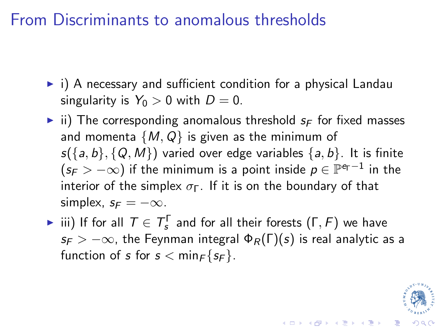## <span id="page-16-0"></span>From Discriminants to anomalous thresholds

- $\triangleright$  i) A necessary and sufficient condition for a physical Landau singularity is  $Y_0 > 0$  with  $D = 0$ .
- ii) The corresponding anomalous threshold  $s_F$  for fixed masses and momenta  $\{M, Q\}$  is given as the minimum of  $s({a,b}, {Q,M})$  varied over edge variables  ${a,b}$ . It is finite  $(s_F > -\infty)$  if the minimum is a point inside  $p \in \mathbb{P}^{e_F-1}$  in the interior of the simplex  $\sigma_{\Gamma}$ . If it is on the boundary of that simplex,  $s_F = -\infty$ .
- ► iii) If for all  $T \in \mathcal{T}_{s}^{\Gamma}$  and for all their forests  $(\Gamma, \mathcal{F})$  we have  $s_F > -\infty$ , the Feynman integral  $\Phi_R(\Gamma)(s)$  is real analytic as a function of s for  $s < min_F\{s_F\}$ .

 $\equiv$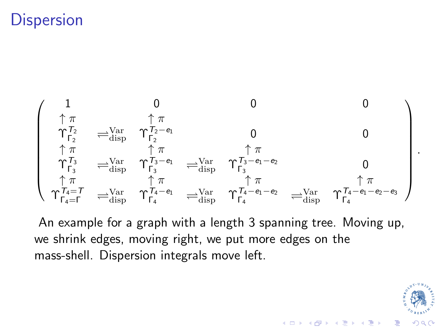# <span id="page-17-0"></span>**Dispersion**

#### $\begin{array}{ccc} 1 & 0 & 0 & 0 \end{array}$  $\overline{\phantom{a}}$  $\uparrow \pi$   $\uparrow \pi$  $\Upsilon_{\Gamma_2}^{\overline{\Gamma_2}} = \begin{array}{cc} \frac{\text{Var}}{\text{disp}} & \Upsilon_{\Gamma_2}^{\overline{\Gamma_2} - \mathbf{e}_1} \\ 0 & 0 \end{array}$  0  $\uparrow \pi$   $\uparrow \pi$   $\uparrow \pi$  $\begin{array}{ccc} \gamma \tau_3^T & \rightarrow & \text{Var} & \gamma \tau_3 - \epsilon_1 & \rightarrow & \text{Var} & \gamma \tau_3 - \epsilon_1 - \epsilon_2 \\ \text{disp} & \tau \tau_3 & \text{disp} & \gamma \tau_3 \end{array}$  $\uparrow \pi$   $\uparrow \pi$   $\uparrow \pi$   $\uparrow \pi$   $\uparrow \pi$  $\begin{array}{ccc} \gamma_{I_4=7}^{T_4=T}&\rightleftharpoons \text{Var} & \gamma_{I_4}^{T_4-e_1} &\rightleftharpoons \text{Var} & \gamma_{I_4}^{T_4-e_1-e_2} &\rightleftharpoons \text{Var} & \gamma_{I_4}^{T_4-e_1-e_2-e_3} \ \text{Higgs} & \gamma_{I_4=7}^{T_4-e_1-e_2-e_3} &\rightleftharpoons \text{Var} & \gamma_{I_4=7}^{T_4-e_1-e_2-e_3} \end{array}$  $\setminus$  $\overline{\phantom{a}}$

.

 $(1)$   $(1)$   $(1)$   $(1)$   $(1)$   $(1)$   $(1)$   $(1)$   $(1)$   $(1)$   $(1)$   $(1)$   $(1)$   $(1)$   $(1)$   $(1)$   $(1)$   $(1)$   $(1)$   $(1)$   $(1)$   $(1)$   $(1)$   $(1)$   $(1)$   $(1)$   $(1)$   $(1)$   $(1)$   $(1)$   $(1)$   $(1)$   $(1)$   $(1)$   $(1)$   $(1)$   $(1)$ 

An example for a graph with a length 3 spanning tree. Moving up, we shrink edges, moving right, we put more edges on the mass-shell. Dispersion integrals move left.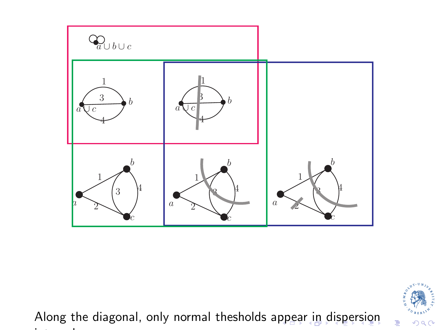<span id="page-18-0"></span>

Along the diagonal, only normal thesholds a[pp](#page-17-0)[ear](#page-19-0) [in](#page-18-0) [d](#page-19-0)[i](#page-16-0)[sp](#page-17-0)[er](#page-20-0)[s](#page-16-0)[io](#page-17-0)[n](#page-19-0) integrals.

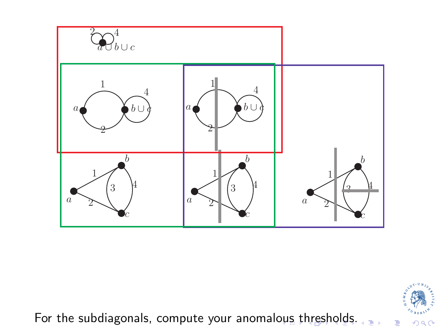<span id="page-19-0"></span>

For the subdiagonals, compute your anomal[ou](#page-18-0)s [t](#page-20-0)[h](#page-18-0)[res](#page-19-0)[h](#page-20-0)[o](#page-16-0)[l](#page-17-0)[d](#page-19-0)[s.](#page-20-0)

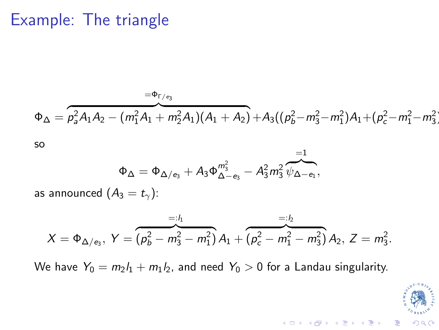## <span id="page-20-0"></span>Example: The triangle

$$
\Phi_{\Delta} = \overbrace{p_a^2 A_1 A_2 - (m_1^2 A_1 + m_2^2 A_1)(A_1 + A_2)}^{= \Phi_{\Gamma/e_3}} + A_3((p_b^2 - m_3^2 - m_1^2)A_1 + (p_c^2 - m_1^2 - m_3^2))
$$

so

$$
\Phi_{\Delta}=\Phi_{\Delta/e_3}+A_3\Phi_{\Delta-e_3}^{m_3^2}-A_3^2m_3^2\overbrace{\psi_{\Delta-e_1}}^{=1},
$$

as announced  $(A_3 = t_\gamma)$ :

$$
X = \Phi_{\Delta/e_3}, Y = \overbrace{(p_b^2 - m_3^2 - m_1^2)}^{=:l_1} A_1 + \overbrace{(p_c^2 - m_1^2 - m_3^2)}^{=:l_2} A_2, Z = m_3^2.
$$

We have  $Y_0 = m_2l_1 + m_1l_2$ , and need  $Y_0 > 0$  for a Landau singularity.



イロメ 不倒 メイモメ 不正々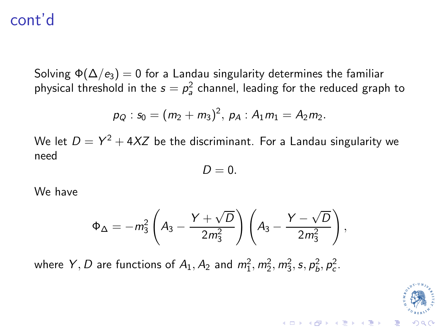## cont'd

Solving  $\Phi(\Delta/e_3) = 0$  for a Landau singularity determines the familiar physical threshold in the  $s=p_a^2$  channel, leading for the reduced graph to

$$
p_Q: s_0=(m_2+m_3)^2, p_A: A_1m_1=A_2m_2.
$$

We let  $D=Y^2+4X\!Z$  be the discriminant. For a Landau singularity we need

$$
D=0.
$$

We have

$$
\Phi_{\Delta}=-m_3^2\left(A_3-\frac{Y+\sqrt{D}}{2m_3^2}\right)\left(A_3-\frac{Y-\sqrt{D}}{2m_3^2}\right),
$$

where Y, D are functions of  $A_1$ ,  $A_2$  and  $m_1^2$ ,  $m_2^2$ ,  $m_3^2$ ,  $s$ ,  $p_b^2$ ,  $p_c^2$ .



 $(1 - 1)$   $(1 - 1)$   $(1 - 1)$   $(1 - 1)$   $(1 - 1)$   $(1 - 1)$   $(1 - 1)$   $(1 - 1)$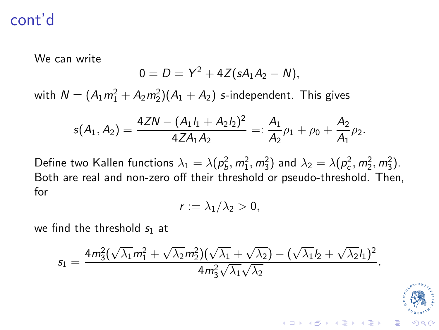## cont'd

We can write

$$
0 = D = Y^2 + 4Z(sA_1A_2 - N),
$$

with  $N=(A_1 m_1^2+A_2 m_2^2)(A_1+A_2)$  s-independent. This gives

$$
s(A_1,A_2)=\frac{4ZN-(A_1I_1+A_2I_2)^2}{4ZA_1A_2}=:\frac{A_1}{A_2}\rho_1+\rho_0+\frac{A_2}{A_1}\rho_2.
$$

Define two Kallen functions  $\lambda_1 = \lambda(p_b^2, m_1^2, m_3^2)$  and  $\lambda_2 = \lambda(p_c^2, m_2^2, m_3^2)$ . Both are real and non-zero off their threshold or pseudo-threshold. Then, for

$$
r:=\lambda_1/\lambda_2>0,
$$

we find the threshold  $s<sub>1</sub>$  at

$$
s_1=\frac{4m_3^2(\sqrt{\lambda_1}m_1^2+\sqrt{\lambda_2}m_2^2)(\sqrt{\lambda_1}+\sqrt{\lambda_2})-(\sqrt{\lambda_1}l_2+\sqrt{\lambda_2}l_1)^2}{4m_3^2\sqrt{\lambda_1}\sqrt{\lambda_2}}
$$



.

 $(1,1)$   $(1,1)$   $(1,1)$   $(1,1)$   $(1,1)$   $(1,1)$   $(1,1)$   $(1,1)$   $(1,1)$   $(1,1)$   $(1,1)$